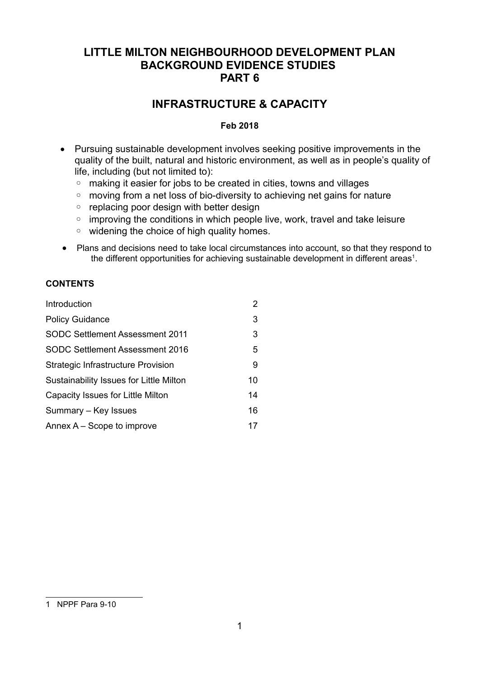# **LITTLE MILTON NEIGHBOURHOOD DEVELOPMENT PLAN BACKGROUND EVIDENCE STUDIES PART 6**

# **INFRASTRUCTURE & CAPACITY**

# **Feb 2018**

- Pursuing sustainable development involves seeking positive improvements in the quality of the built, natural and historic environment, as well as in people's quality of life, including (but not limited to):
	- making it easier for jobs to be created in cities, towns and villages
	- moving from a net loss of bio-diversity to achieving net gains for nature
	- replacing poor design with better design
	- improving the conditions in which people live, work, travel and take leisure
	- widening the choice of high quality homes.
- Plans and decisions need to take local circumstances into account, so that they respond to the different opportunities for achieving sustainable development in different areas<sup>[1](#page-0-0)</sup>.

# **CONTENTS**

<span id="page-0-0"></span>

| Introduction                              | 2  |
|-------------------------------------------|----|
| <b>Policy Guidance</b>                    | 3  |
| <b>SODC Settlement Assessment 2011</b>    | 3  |
| <b>SODC Settlement Assessment 2016</b>    | 5  |
| <b>Strategic Infrastructure Provision</b> | 9  |
| Sustainability Issues for Little Milton   | 10 |
| Capacity Issues for Little Milton         | 14 |
| Summary – Key Issues                      | 16 |
| Annex $A -$ Scope to improve              | 17 |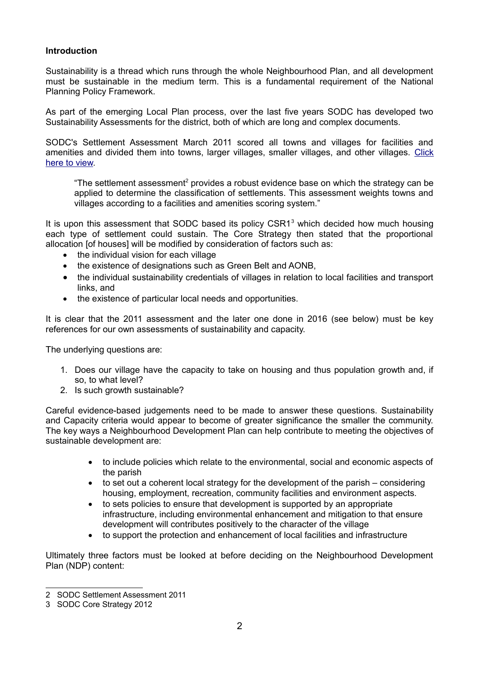## **Introduction**

Sustainability is a thread which runs through the whole Neighbourhood Plan, and all development must be sustainable in the medium term. This is a fundamental requirement of the National Planning Policy Framework.

As part of the emerging Local Plan process, over the last five years SODC has developed two Sustainability Assessments for the district, both of which are long and complex documents.

SODC's Settlement Assessment March 2011 scored all towns and villages for facilities and amenities and divided them into towns, larger villages, smaller villages, and other villages. [Click](http://www.southoxon.gov.uk/sites/default/files/Settlement%20Assessment%20March%202011_2.pdf) [here to view.](http://www.southoxon.gov.uk/sites/default/files/Settlement%20Assessment%20March%202011_2.pdf)

"The settlement assessment<sup>[2](#page-1-0)</sup> provides a robust evidence base on which the strategy can be applied to determine the classification of settlements. This assessment weights towns and villages according to a facilities and amenities scoring system."

It is upon this assessment that SODC based its policy CSR1<sup>[3](#page-1-1)</sup> which decided how much housing each type of settlement could sustain. The Core Strategy then stated that the proportional allocation [of houses] will be modified by consideration of factors such as:

- the individual vision for each village
- the existence of designations such as Green Belt and AONB,
- the individual sustainability credentials of villages in relation to local facilities and transport links, and
- the existence of particular local needs and opportunities.

It is clear that the 2011 assessment and the later one done in 2016 (see below) must be key references for our own assessments of sustainability and capacity.

The underlying questions are:

- 1. Does our village have the capacity to take on housing and thus population growth and, if so, to what level?
- 2. Is such growth sustainable?

Careful evidence-based judgements need to be made to answer these questions. Sustainability and Capacity criteria would appear to become of greater significance the smaller the community. The key ways a Neighbourhood Development Plan can help contribute to meeting the objectives of sustainable development are:

- to include policies which relate to the environmental, social and economic aspects of the parish
- to set out a coherent local strategy for the development of the parish considering housing, employment, recreation, community facilities and environment aspects.
- to sets policies to ensure that development is supported by an appropriate infrastructure, including environmental enhancement and mitigation to that ensure development will contributes positively to the character of the village
- to support the protection and enhancement of local facilities and infrastructure

Ultimately three factors must be looked at before deciding on the Neighbourhood Development Plan (NDP) content:

<span id="page-1-0"></span><sup>2</sup> SODC Settlement Assessment 2011

<span id="page-1-1"></span><sup>3</sup> SODC Core Strategy 2012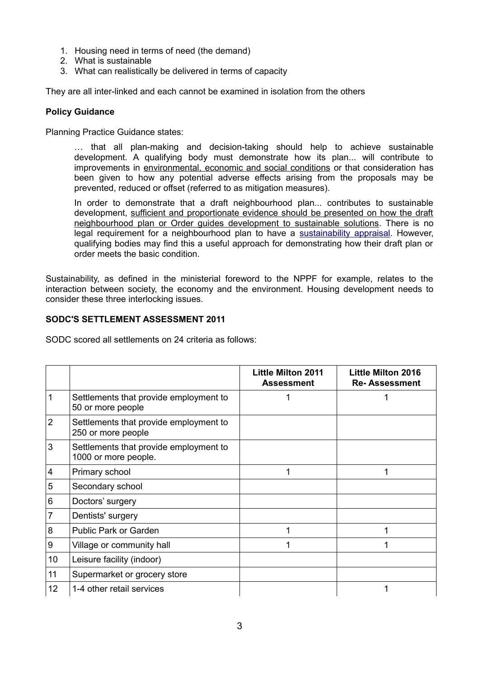- 1. Housing need in terms of need (the demand)
- 2. What is sustainable
- 3. What can realistically be delivered in terms of capacity

They are all inter-linked and each cannot be examined in isolation from the others

# **Policy Guidance**

Planning Practice Guidance states:

… that all plan-making and decision-taking should help to achieve sustainable development. A qualifying body must demonstrate how its plan... will contribute to improvements in environmental, economic and social conditions or that consideration has been given to how any potential adverse effects arising from the proposals may be prevented, reduced or offset (referred to as mitigation measures).

In order to demonstrate that a draft neighbourhood plan... contributes to sustainable development, sufficient and proportionate evidence should be presented on how the draft neighbourhood plan or Order guides development to sustainable solutions. There is no legal requirement for a neighbourhood plan to have a [sustainability appraisal.](http://planningguidance.communities.gov.uk/blog/guidance/strategic-environmental-assessment-and-sustainability-appraisal/) However, qualifying bodies may find this a useful approach for demonstrating how their draft plan or order meets the basic condition.

Sustainability, as defined in the ministerial foreword to the NPPF for example, relates to the interaction between society, the economy and the environment. Housing development needs to consider these three interlocking issues.

# **SODC'S SETTLEMENT ASSESSMENT 2011**

SODC scored all settlements on 24 criteria as follows:

|                |                                                                | <b>Little Milton 2011</b><br><b>Assessment</b> | <b>Little Milton 2016</b><br><b>Re-Assessment</b> |
|----------------|----------------------------------------------------------------|------------------------------------------------|---------------------------------------------------|
|                | Settlements that provide employment to<br>50 or more people    |                                                |                                                   |
| $\overline{2}$ | Settlements that provide employment to<br>250 or more people   |                                                |                                                   |
| 3              | Settlements that provide employment to<br>1000 or more people. |                                                |                                                   |
| 4              | Primary school                                                 | 1                                              | 1                                                 |
| 5              | Secondary school                                               |                                                |                                                   |
| 6              | Doctors' surgery                                               |                                                |                                                   |
| $\overline{7}$ | Dentists' surgery                                              |                                                |                                                   |
| 8              | <b>Public Park or Garden</b>                                   | 1                                              |                                                   |
| 9              | Village or community hall                                      | 1                                              |                                                   |
| 10             | Leisure facility (indoor)                                      |                                                |                                                   |
| 11             | Supermarket or grocery store                                   |                                                |                                                   |
| 12             | 1-4 other retail services                                      |                                                |                                                   |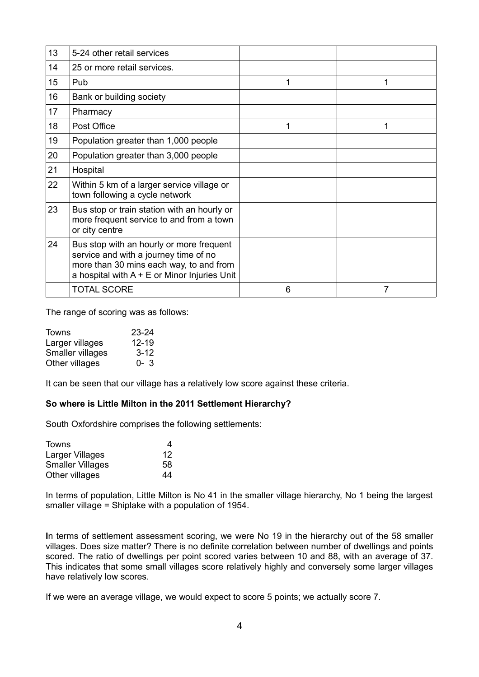| 13 | 5-24 other retail services                                                                                                                                                     |   |   |
|----|--------------------------------------------------------------------------------------------------------------------------------------------------------------------------------|---|---|
| 14 | 25 or more retail services.                                                                                                                                                    |   |   |
| 15 | Pub                                                                                                                                                                            | 1 | 1 |
| 16 | Bank or building society                                                                                                                                                       |   |   |
| 17 | Pharmacy                                                                                                                                                                       |   |   |
| 18 | Post Office                                                                                                                                                                    | 1 | 1 |
| 19 | Population greater than 1,000 people                                                                                                                                           |   |   |
| 20 | Population greater than 3,000 people                                                                                                                                           |   |   |
| 21 | Hospital                                                                                                                                                                       |   |   |
| 22 | Within 5 km of a larger service village or<br>town following a cycle network                                                                                                   |   |   |
| 23 | Bus stop or train station with an hourly or<br>more frequent service to and from a town<br>or city centre                                                                      |   |   |
| 24 | Bus stop with an hourly or more frequent<br>service and with a journey time of no<br>more than 30 mins each way, to and from<br>a hospital with $A + E$ or Minor Injuries Unit |   |   |
|    | <b>TOTAL SCORE</b>                                                                                                                                                             | 6 | 7 |

The range of scoring was as follows:

| <b>Towns</b>     | $23 - 24$ |
|------------------|-----------|
| Larger villages  | 12-19     |
| Smaller villages | $3 - 12$  |
| Other villages   | $0 - 3$   |

It can be seen that our village has a relatively low score against these criteria.

## **So where is Little Milton in the 2011 Settlement Hierarchy?**

South Oxfordshire comprises the following settlements:

| Towns                   | 4  |
|-------------------------|----|
| Larger Villages         | 12 |
| <b>Smaller Villages</b> | 58 |
| Other villages          | 44 |

In terms of population, Little Milton is No 41 in the smaller village hierarchy, No 1 being the largest smaller village = Shiplake with a population of 1954.

**I**n terms of settlement assessment scoring, we were No 19 in the hierarchy out of the 58 smaller villages. Does size matter? There is no definite correlation between number of dwellings and points scored. The ratio of dwellings per point scored varies between 10 and 88, with an average of 37. This indicates that some small villages score relatively highly and conversely some larger villages have relatively low scores.

If we were an average village, we would expect to score 5 points; we actually score 7.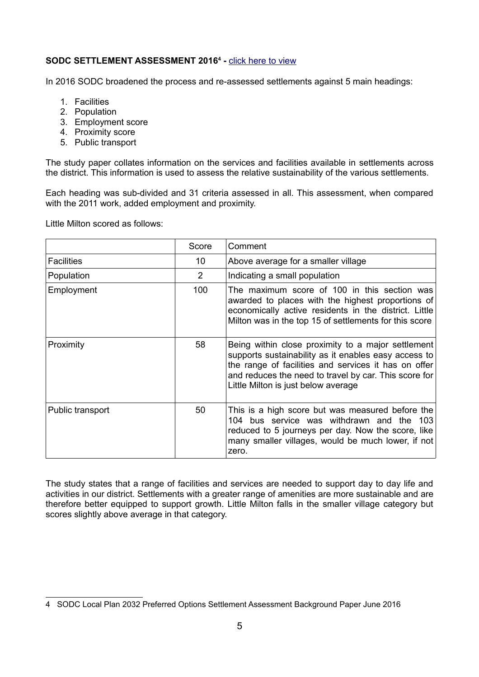# **SODC SETTLEMENT ASSESSMENT 2016[4](#page-4-0) -** [click here to view](http://www.southoxon.gov.uk/sites/default/files/2016%2006%20South%20Oxfordshire%20Settlement%20Assessment%20final.pdf)

In 2016 SODC broadened the process and re-assessed settlements against 5 main headings:

- 1. Facilities
- 2. Population
- 3. Employment score
- 4. Proximity score
- 5. Public transport

The study paper collates information on the services and facilities available in settlements across the district. This information is used to assess the relative sustainability of the various settlements.

Each heading was sub-divided and 31 criteria assessed in all. This assessment, when compared with the 2011 work, added employment and proximity.

Little Milton scored as follows:

|                   | Score          | Comment                                                                                                                                                                                                                                                            |  |
|-------------------|----------------|--------------------------------------------------------------------------------------------------------------------------------------------------------------------------------------------------------------------------------------------------------------------|--|
| <b>Facilities</b> | 10             | Above average for a smaller village                                                                                                                                                                                                                                |  |
| Population        | $\overline{2}$ | Indicating a small population                                                                                                                                                                                                                                      |  |
| Employment        | 100            | The maximum score of 100 in this section was<br>awarded to places with the highest proportions of<br>economically active residents in the district. Little<br>Milton was in the top 15 of settlements for this score                                               |  |
| Proximity         | 58             | Being within close proximity to a major settlement<br>supports sustainability as it enables easy access to<br>the range of facilities and services it has on offer<br>and reduces the need to travel by car. This score for<br>Little Milton is just below average |  |
| Public transport  | 50             | This is a high score but was measured before the<br>104 bus service was withdrawn and the<br>103<br>reduced to 5 journeys per day. Now the score, like<br>many smaller villages, would be much lower, if not<br>zero.                                              |  |

The study states that a range of facilities and services are needed to support day to day life and activities in our district. Settlements with a greater range of amenities are more sustainable and are therefore better equipped to support growth. Little Milton falls in the smaller village category but scores slightly above average in that category.

<span id="page-4-0"></span><sup>4</sup> SODC Local Plan 2032 Preferred Options Settlement Assessment Background Paper June 2016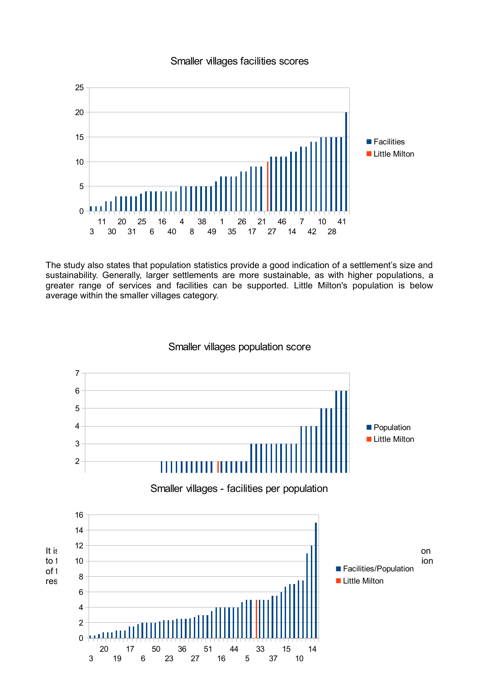

# Smaller villages facilities scores

The study also states that population statistics provide a good indication of a settlement's size and sustainability. Generally, larger settlements are more sustainable, as with higher populations, a greater range of services and facilities can be supported. Little Milton's population is below average within the smaller villages category.

Smaller villages population score

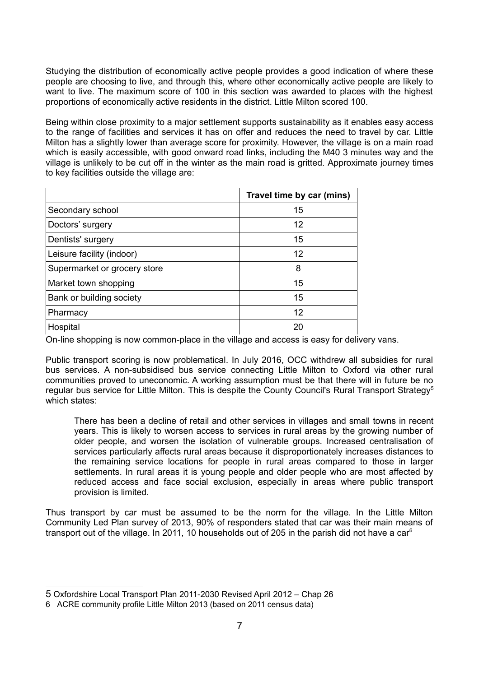Studying the distribution of economically active people provides a good indication of where these people are choosing to live, and through this, where other economically active people are likely to want to live. The maximum score of 100 in this section was awarded to places with the highest proportions of economically active residents in the district. Little Milton scored 100.

Being within close proximity to a major settlement supports sustainability as it enables easy access to the range of facilities and services it has on offer and reduces the need to travel by car. Little Milton has a slightly lower than average score for proximity. However, the village is on a main road which is easily accessible, with good onward road links, including the M40 3 minutes way and the village is unlikely to be cut off in the winter as the main road is gritted. Approximate journey times to key facilities outside the village are:

|                              | Travel time by car (mins) |
|------------------------------|---------------------------|
| Secondary school             | 15                        |
| Doctors' surgery             | 12                        |
| Dentists' surgery            | 15                        |
| Leisure facility (indoor)    | 12                        |
| Supermarket or grocery store | 8                         |
| Market town shopping         | 15                        |
| Bank or building society     | 15                        |
| Pharmacy                     | 12                        |
| Hospital                     | 20                        |

On-line shopping is now common-place in the village and access is easy for delivery vans.

Public transport scoring is now problematical. In July 2016, OCC withdrew all subsidies for rural bus services. A non-subsidised bus service connecting Little Milton to Oxford via other rural communities proved to uneconomic. A working assumption must be that there will in future be no regular bus service for Little Milton. This is despite the County Council's Rural Transport Strategy<sup>[5](#page-6-0)</sup> which states:

There has been a decline of retail and other services in villages and small towns in recent years. This is likely to worsen access to services in rural areas by the growing number of older people, and worsen the isolation of vulnerable groups. Increased centralisation of services particularly affects rural areas because it disproportionately increases distances to the remaining service locations for people in rural areas compared to those in larger settlements. In rural areas it is young people and older people who are most affected by reduced access and face social exclusion, especially in areas where public transport provision is limited.

Thus transport by car must be assumed to be the norm for the village. In the Little Milton Community Led Plan survey of 2013, 90% of responders stated that car was their main means of transport out of the village. In 2011, 10 households out of 205 in the parish did not have a car<sup>[6](#page-6-1)</sup>

<span id="page-6-0"></span><sup>5</sup> Oxfordshire Local Transport Plan 2011-2030 Revised April 2012 – Chap 26

<span id="page-6-1"></span><sup>6</sup> ACRE community profile Little Milton 2013 (based on 2011 census data)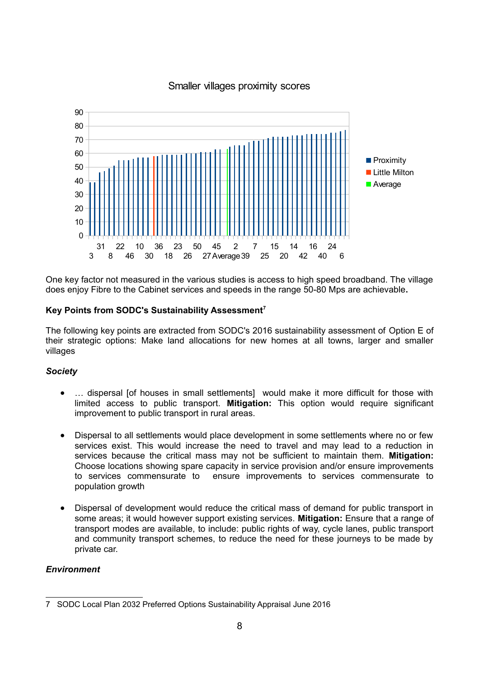

# Smaller villages proximity scores

One key factor not measured in the various studies is access to high speed broadband. The village does enjoy Fibre to the Cabinet services and speeds in the range 50-80 Mps are achievable**.**

# **Key Points from SODC's Sustainability Assessment[7](#page-7-0)**

The following key points are extracted from SODC's 2016 sustainability assessment of Option E of their strategic options: Make land allocations for new homes at all towns, larger and smaller villages

## *Society*

- … dispersal [of houses in small settlements] would make it more difficult for those with limited access to public transport. **Mitigation:** This option would require significant improvement to public transport in rural areas.
- Dispersal to all settlements would place development in some settlements where no or few services exist. This would increase the need to travel and may lead to a reduction in services because the critical mass may not be sufficient to maintain them. **Mitigation:** Choose locations showing spare capacity in service provision and/or ensure improvements to services commensurate to ensure improvements to services commensurate to population growth
- Dispersal of development would reduce the critical mass of demand for public transport in some areas; it would however support existing services. **Mitigation:** Ensure that a range of transport modes are available, to include: public rights of way, cycle lanes, public transport and community transport schemes, to reduce the need for these journeys to be made by private car.

# *Environment*

<span id="page-7-0"></span><sup>7</sup> SODC Local Plan 2032 Preferred Options Sustainability Appraisal June 2016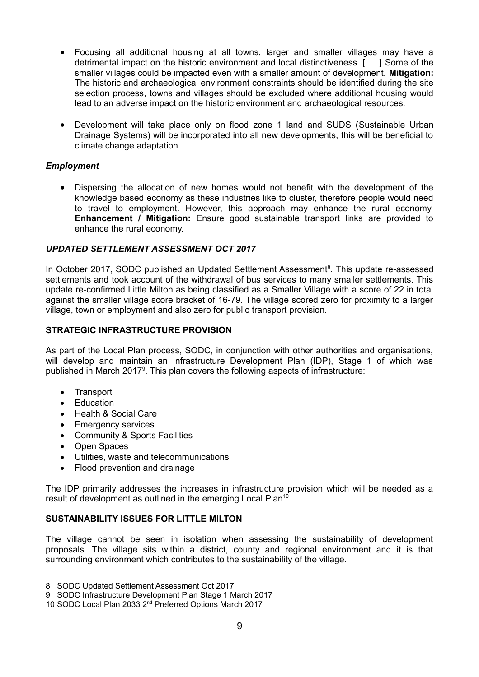- Focusing all additional housing at all towns, larger and smaller villages may have a detrimental impact on the historic environment and local distinctiveness. [ ] Some of the smaller villages could be impacted even with a smaller amount of development. **Mitigation:** The historic and archaeological environment constraints should be identified during the site selection process, towns and villages should be excluded where additional housing would lead to an adverse impact on the historic environment and archaeological resources.
- Development will take place only on flood zone 1 land and SUDS (Sustainable Urban Drainage Systems) will be incorporated into all new developments, this will be beneficial to climate change adaptation.

# *Employment*

 Dispersing the allocation of new homes would not benefit with the development of the knowledge based economy as these industries like to cluster, therefore people would need to travel to employment. However, this approach may enhance the rural economy. **Enhancement / Mitigation:** Ensure good sustainable transport links are provided to enhance the rural economy.

# *UPDATED SETTLEMENT ASSESSMENT OCT 2017*

In October 2017, SODC published an Updated Settlement Assessment<sup>[8](#page-8-0)</sup>. This update re-assessed settlements and took account of the withdrawal of bus services to many smaller settlements. This update re-confirmed Little Milton as being classified as a Smaller Village with a score of 22 in total against the smaller village score bracket of 16-79. The village scored zero for proximity to a larger village, town or employment and also zero for public transport provision.

#### **STRATEGIC INFRASTRUCTURE PROVISION**

As part of the Local Plan process, SODC, in conjunction with other authorities and organisations, will develop and maintain an Infrastructure Development Plan (IDP), Stage 1 of which was published in March 2017<sup>[9](#page-8-1)</sup>. This plan covers the following aspects of infrastructure:

- Transport
- Education
- Health & Social Care
- Emergency services
- Community & Sports Facilities
- Open Spaces
- Utilities, waste and telecommunications
- Flood prevention and drainage

The IDP primarily addresses the increases in infrastructure provision which will be needed as a result of development as outlined in the emerging Local Plan<sup>[10](#page-8-2)</sup>.

## **SUSTAINABILITY ISSUES FOR LITTLE MILTON**

The village cannot be seen in isolation when assessing the sustainability of development proposals. The village sits within a district, county and regional environment and it is that surrounding environment which contributes to the sustainability of the village.

<span id="page-8-0"></span><sup>8</sup> SODC Updated Settlement Assessment Oct 2017

<span id="page-8-1"></span><sup>9</sup> SODC Infrastructure Development Plan Stage 1 March 2017

<span id="page-8-2"></span><sup>10</sup> SODC Local Plan 2033 2<sup>nd</sup> Preferred Options March 2017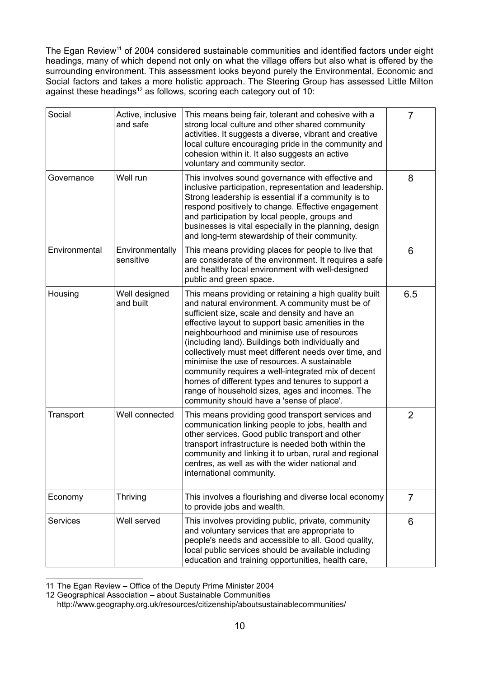The Egan Review<sup>[11](#page-9-0)</sup> of 2004 considered sustainable communities and identified factors under eight headings, many of which depend not only on what the village offers but also what is offered by the surrounding environment. This assessment looks beyond purely the Environmental, Economic and Social factors and takes a more holistic approach. The Steering Group has assessed Little Milton against these headings $12$  as follows, scoring each category out of 10:

| Social          | Active, inclusive<br>and safe | This means being fair, tolerant and cohesive with a<br>strong local culture and other shared community<br>activities. It suggests a diverse, vibrant and creative<br>local culture encouraging pride in the community and<br>cohesion within it. It also suggests an active<br>voluntary and community sector.                                                                                                                                                                                                                                                                                                                            | $\overline{7}$ |
|-----------------|-------------------------------|-------------------------------------------------------------------------------------------------------------------------------------------------------------------------------------------------------------------------------------------------------------------------------------------------------------------------------------------------------------------------------------------------------------------------------------------------------------------------------------------------------------------------------------------------------------------------------------------------------------------------------------------|----------------|
| Governance      | Well run                      | This involves sound governance with effective and<br>inclusive participation, representation and leadership.<br>Strong leadership is essential if a community is to<br>respond positively to change. Effective engagement<br>and participation by local people, groups and<br>businesses is vital especially in the planning, design<br>and long-term stewardship of their community.                                                                                                                                                                                                                                                     | 8              |
| Environmental   | Environmentally<br>sensitive  | This means providing places for people to live that<br>are considerate of the environment. It requires a safe<br>and healthy local environment with well-designed<br>public and green space.                                                                                                                                                                                                                                                                                                                                                                                                                                              | 6              |
| Housing         | Well designed<br>and built    | This means providing or retaining a high quality built<br>and natural environment. A community must be of<br>sufficient size, scale and density and have an<br>effective layout to support basic amenities in the<br>neighbourhood and minimise use of resources<br>(including land). Buildings both individually and<br>collectively must meet different needs over time, and<br>minimise the use of resources. A sustainable<br>community requires a well-integrated mix of decent<br>homes of different types and tenures to support a<br>range of household sizes, ages and incomes. The<br>community should have a 'sense of place'. | 6.5            |
| Transport       | Well connected                | This means providing good transport services and<br>communication linking people to jobs, health and<br>other services. Good public transport and other<br>transport infrastructure is needed both within the<br>community and linking it to urban, rural and regional<br>centres, as well as with the wider national and<br>international community.                                                                                                                                                                                                                                                                                     | $\overline{2}$ |
| Economy         | Thriving                      | This involves a flourishing and diverse local economy<br>to provide jobs and wealth.                                                                                                                                                                                                                                                                                                                                                                                                                                                                                                                                                      | $\overline{7}$ |
| <b>Services</b> | Well served                   | This involves providing public, private, community<br>and voluntary services that are appropriate to<br>people's needs and accessible to all. Good quality,<br>local public services should be available including<br>education and training opportunities, health care,                                                                                                                                                                                                                                                                                                                                                                  | 6              |

<span id="page-9-0"></span>11 The Egan Review – Office of the Deputy Prime Minister 2004

<span id="page-9-1"></span>12 Geographical Association – about Sustainable Communities http://www.geography.org.uk/resources/citizenship/aboutsustainablecommunities/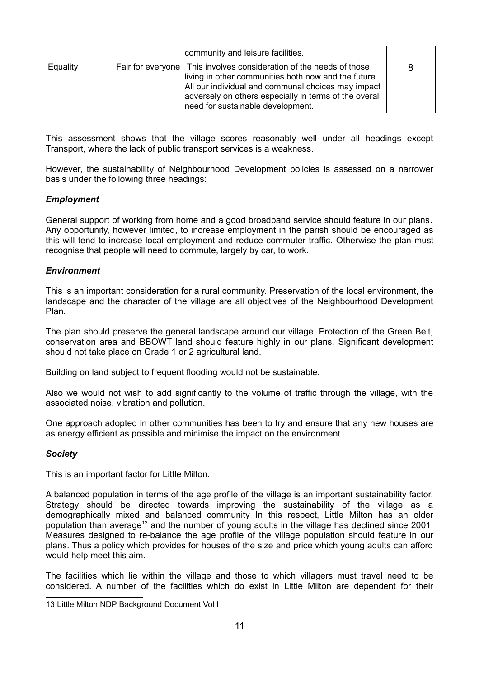|          | community and leisure facilities.                                                                                                                                                                                                                                                |   |
|----------|----------------------------------------------------------------------------------------------------------------------------------------------------------------------------------------------------------------------------------------------------------------------------------|---|
| Equality | Fair for everyone This involves consideration of the needs of those<br>living in other communities both now and the future.<br>All our individual and communal choices may impact<br>adversely on others especially in terms of the overall<br>need for sustainable development. | 8 |

This assessment shows that the village scores reasonably well under all headings except Transport, where the lack of public transport services is a weakness.

However, the sustainability of Neighbourhood Development policies is assessed on a narrower basis under the following three headings:

## *Employment*

General support of working from home and a good broadband service should feature in our plans*.* Any opportunity, however limited, to increase employment in the parish should be encouraged as this will tend to increase local employment and reduce commuter traffic. Otherwise the plan must recognise that people will need to commute, largely by car, to work.

#### *Environment*

This is an important consideration for a rural community. Preservation of the local environment, the landscape and the character of the village are all objectives of the Neighbourhood Development Plan.

The plan should preserve the general landscape around our village. Protection of the Green Belt, conservation area and BBOWT land should feature highly in our plans. Significant development should not take place on Grade 1 or 2 agricultural land.

Building on land subject to frequent flooding would not be sustainable.

Also we would not wish to add significantly to the volume of traffic through the village, with the associated noise, vibration and pollution.

One approach adopted in other communities has been to try and ensure that any new houses are as energy efficient as possible and minimise the impact on the environment.

#### *Society*

This is an important factor for Little Milton.

A balanced population in terms of the age profile of the village is an important sustainability factor. Strategy should be directed towards improving the sustainability of the village as a demographically mixed and balanced community In this respect, Little Milton has an older population than average<sup>[13](#page-10-0)</sup> and the number of young adults in the village has declined since 2001. Measures designed to re-balance the age profile of the village population should feature in our plans. Thus a policy which provides for houses of the size and price which young adults can afford would help meet this aim.

The facilities which lie within the village and those to which villagers must travel need to be considered. A number of the facilities which do exist in Little Milton are dependent for their

<span id="page-10-0"></span><sup>13</sup> Little Milton NDP Background Document Vol I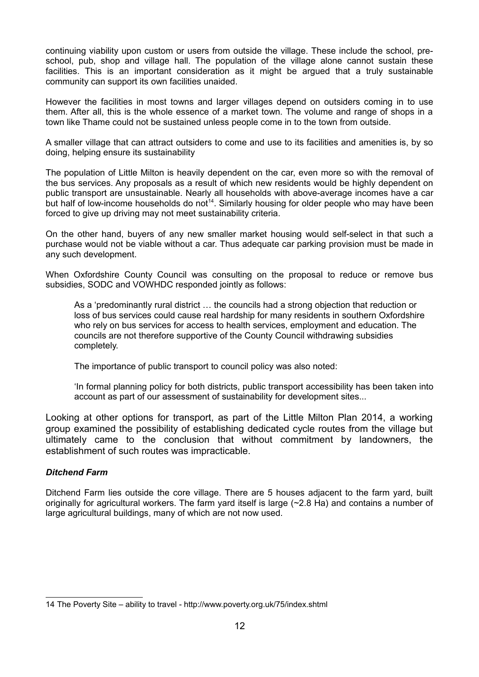continuing viability upon custom or users from outside the village. These include the school, preschool, pub, shop and village hall. The population of the village alone cannot sustain these facilities. This is an important consideration as it might be argued that a truly sustainable community can support its own facilities unaided.

However the facilities in most towns and larger villages depend on outsiders coming in to use them. After all, this is the whole essence of a market town. The volume and range of shops in a town like Thame could not be sustained unless people come in to the town from outside.

A smaller village that can attract outsiders to come and use to its facilities and amenities is, by so doing, helping ensure its sustainability

The population of Little Milton is heavily dependent on the car, even more so with the removal of the bus services. Any proposals as a result of which new residents would be highly dependent on public transport are unsustainable. Nearly all households with above-average incomes have a car but half of low-income households do not<sup>[14](#page-11-0)</sup>. Similarly housing for older people who may have been forced to give up driving may not meet sustainability criteria.

On the other hand, buyers of any new smaller market housing would self-select in that such a purchase would not be viable without a car. Thus adequate car parking provision must be made in any such development.

When Oxfordshire County Council was consulting on the proposal to reduce or remove bus subsidies, SODC and VOWHDC responded jointly as follows:

As a 'predominantly rural district … the councils had a strong objection that reduction or loss of bus services could cause real hardship for many residents in southern Oxfordshire who rely on bus services for access to health services, employment and education. The councils are not therefore supportive of the County Council withdrawing subsidies completely.

The importance of public transport to council policy was also noted:

'In formal planning policy for both districts, public transport accessibility has been taken into account as part of our assessment of sustainability for development sites...

Looking at other options for transport, as part of the Little Milton Plan 2014, a working group examined the possibility of establishing dedicated cycle routes from the village but ultimately came to the conclusion that without commitment by landowners, the establishment of such routes was impracticable.

## *Ditchend Farm*

Ditchend Farm lies outside the core village. There are 5 houses adjacent to the farm yard, built originally for agricultural workers. The farm yard itself is large (~2.8 Ha) and contains a number of large agricultural buildings, many of which are not now used.

<span id="page-11-0"></span><sup>14</sup> The Poverty Site – ability to travel - http://www.poverty.org.uk/75/index.shtml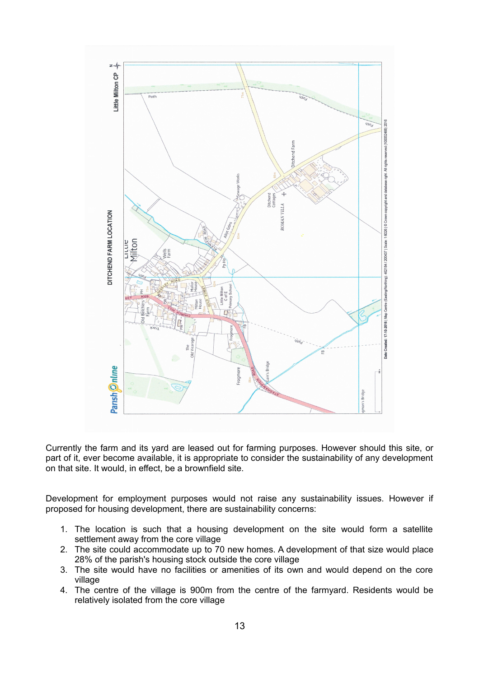

Currently the farm and its yard are leased out for farming purposes. However should this site, or part of it, ever become available, it is appropriate to consider the sustainability of any development on that site. It would, in effect, be a brownfield site.

Development for employment purposes would not raise any sustainability issues. However if proposed for housing development, there are sustainability concerns:

- 1. The location is such that a housing development on the site would form a satellite settlement away from the core village
- 2. The site could accommodate up to 70 new homes. A development of that size would place 28% of the parish's housing stock outside the core village
- 3. The site would have no facilities or amenities of its own and would depend on the core village
- 4. The centre of the village is 900m from the centre of the farmyard. Residents would be relatively isolated from the core village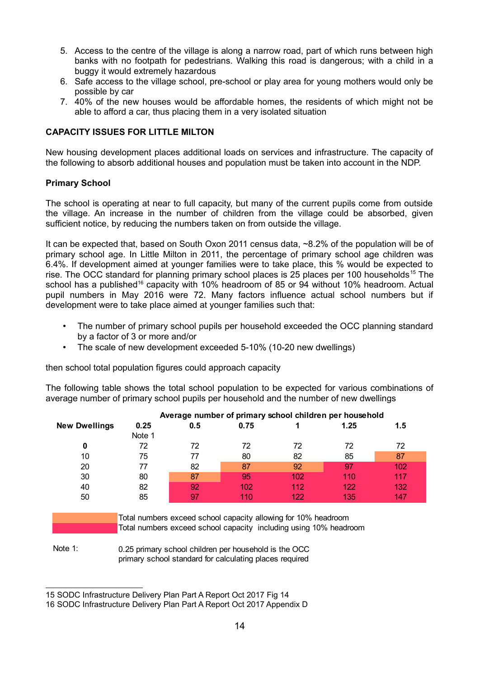- 5. Access to the centre of the village is along a narrow road, part of which runs between high banks with no footpath for pedestrians. Walking this road is dangerous: with a child in a buggy it would extremely hazardous
- 6. Safe access to the village school, pre-school or play area for young mothers would only be possible by car
- 7. 40% of the new houses would be affordable homes, the residents of which might not be able to afford a car, thus placing them in a very isolated situation

## **CAPACITY ISSUES FOR LITTLE MILTON**

New housing development places additional loads on services and infrastructure. The capacity of the following to absorb additional houses and population must be taken into account in the NDP.

#### **Primary School**

The school is operating at near to full capacity, but many of the current pupils come from outside the village. An increase in the number of children from the village could be absorbed, given sufficient notice, by reducing the numbers taken on from outside the village.

It can be expected that, based on South Oxon 2011 census data, ~8.2% of the population will be of primary school age. In Little Milton in 2011, the percentage of primary school age children was 6.4%. If development aimed at younger families were to take place, this % would be expected to rise. The OCC standard for planning primary school places is 25 places per 100 households<sup>[15](#page-13-0)</sup> The school has a published<sup>[16](#page-13-1)</sup> capacity with 10% headroom of 85 or 94 without 10% headroom. Actual pupil numbers in May 2016 were 72. Many factors influence actual school numbers but if development were to take place aimed at younger families such that:

- The number of primary school pupils per household exceeded the OCC planning standard by a factor of 3 or more and/or
- The scale of new development exceeded 5-10% (10-20 new dwellings)

then school total population figures could approach capacity

The following table shows the total school population to be expected for various combinations of average number of primary school pupils per household and the number of new dwellings

|                      |        |     |      |     | Average number of primary school children per household |     |
|----------------------|--------|-----|------|-----|---------------------------------------------------------|-----|
| <b>New Dwellings</b> | 0.25   | 0.5 | 0.75 |     | 1.25                                                    | 1.5 |
|                      | Note 1 |     |      |     |                                                         |     |
| 0                    | 72     | 72  | 72   | 72  | 72                                                      | 72  |
| 10                   | 75     | 77  | 80   | 82  | 85                                                      | 87  |
| 20                   | 77     | 82  | 87   | 92  | 97                                                      | 102 |
| 30                   | 80     | 87  | 95   | 102 | 110                                                     | 117 |
| 40                   | 82     | 92  | 102  | 112 | 122                                                     | 132 |
| 50                   | 85     | 97  | 110  | 122 | 135                                                     | 147 |

Total numbers exceed school capacity allowing for 10% headroom Total numbers exceed school capacity including using 10% headroom

Note 1: 0.25 primary school children per household is the OCC primary school standard for calculating places required

<span id="page-13-0"></span><sup>15</sup> SODC Infrastructure Delivery Plan Part A Report Oct 2017 Fig 14

<span id="page-13-1"></span><sup>16</sup> SODC Infrastructure Delivery Plan Part A Report Oct 2017 Appendix D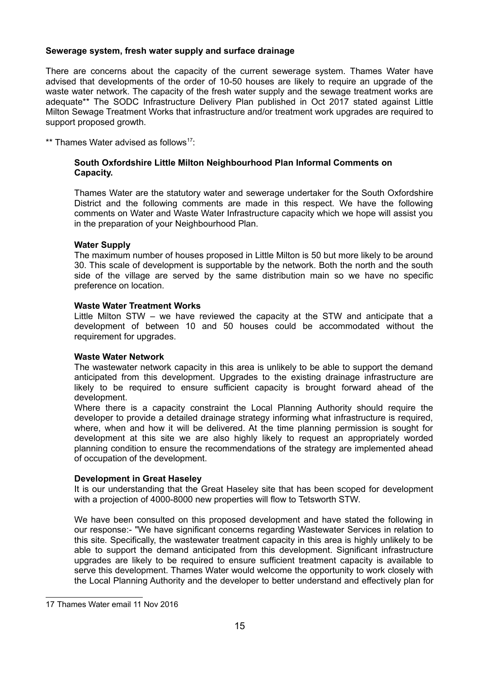#### **Sewerage system, fresh water supply and surface drainage**

There are concerns about the capacity of the current sewerage system. Thames Water have advised that developments of the order of 10-50 houses are likely to require an upgrade of the waste water network. The capacity of the fresh water supply and the sewage treatment works are adequate\*\* The SODC Infrastructure Delivery Plan published in Oct 2017 stated against Little Milton Sewage Treatment Works that infrastructure and/or treatment work upgrades are required to support proposed growth.

\*\* Thames Water advised as follows<sup>[17](#page-14-0):</sup>

## **South Oxfordshire Little Milton Neighbourhood Plan Informal Comments on Capacity.**

Thames Water are the statutory water and sewerage undertaker for the South Oxfordshire District and the following comments are made in this respect. We have the following comments on Water and Waste Water Infrastructure capacity which we hope will assist you in the preparation of your Neighbourhood Plan.

#### **Water Supply**

The maximum number of houses proposed in Little Milton is 50 but more likely to be around 30. This scale of development is supportable by the network. Both the north and the south side of the village are served by the same distribution main so we have no specific preference on location.

#### **Waste Water Treatment Works**

Little Milton STW – we have reviewed the capacity at the STW and anticipate that a development of between 10 and 50 houses could be accommodated without the requirement for upgrades.

#### **Waste Water Network**

The wastewater network capacity in this area is unlikely to be able to support the demand anticipated from this development. Upgrades to the existing drainage infrastructure are likely to be required to ensure sufficient capacity is brought forward ahead of the development.

Where there is a capacity constraint the Local Planning Authority should require the developer to provide a detailed drainage strategy informing what infrastructure is required, where, when and how it will be delivered. At the time planning permission is sought for development at this site we are also highly likely to request an appropriately worded planning condition to ensure the recommendations of the strategy are implemented ahead of occupation of the development.

#### **Development in Great Haseley**

It is our understanding that the Great Haseley site that has been scoped for development with a projection of 4000-8000 new properties will flow to Tetsworth STW.

We have been consulted on this proposed development and have stated the following in our response:- "We have significant concerns regarding Wastewater Services in relation to this site. Specifically, the wastewater treatment capacity in this area is highly unlikely to be able to support the demand anticipated from this development. Significant infrastructure upgrades are likely to be required to ensure sufficient treatment capacity is available to serve this development. Thames Water would welcome the opportunity to work closely with the Local Planning Authority and the developer to better understand and effectively plan for

<span id="page-14-0"></span><sup>17</sup> Thames Water email 11 Nov 2016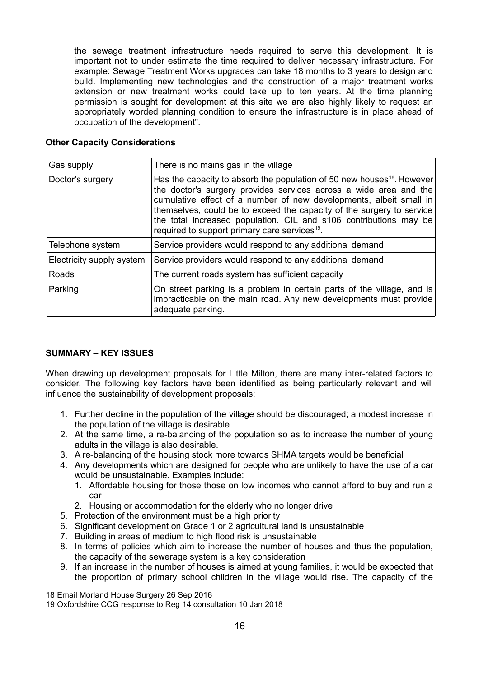the sewage treatment infrastructure needs required to serve this development. It is important not to under estimate the time required to deliver necessary infrastructure. For example: Sewage Treatment Works upgrades can take 18 months to 3 years to design and build. Implementing new technologies and the construction of a major treatment works extension or new treatment works could take up to ten years. At the time planning permission is sought for development at this site we are also highly likely to request an appropriately worded planning condition to ensure the infrastructure is in place ahead of occupation of the development".

#### **Other Capacity Considerations**

| Gas supply                | There is no mains gas in the village                                                                                                                                                                                                                                                                                                                                                                                                     |
|---------------------------|------------------------------------------------------------------------------------------------------------------------------------------------------------------------------------------------------------------------------------------------------------------------------------------------------------------------------------------------------------------------------------------------------------------------------------------|
| Doctor's surgery          | Has the capacity to absorb the population of 50 new houses <sup>18</sup> . However<br>the doctor's surgery provides services across a wide area and the<br>cumulative effect of a number of new developments, albeit small in<br>themselves, could be to exceed the capacity of the surgery to service<br>the total increased population. CIL and s106 contributions may be<br>required to support primary care services <sup>19</sup> . |
| Telephone system          | Service providers would respond to any additional demand                                                                                                                                                                                                                                                                                                                                                                                 |
| Electricity supply system | Service providers would respond to any additional demand                                                                                                                                                                                                                                                                                                                                                                                 |
| Roads                     | The current roads system has sufficient capacity                                                                                                                                                                                                                                                                                                                                                                                         |
| Parking                   | On street parking is a problem in certain parts of the village, and is<br>impracticable on the main road. Any new developments must provide<br>adequate parking.                                                                                                                                                                                                                                                                         |

## **SUMMARY – KEY ISSUES**

When drawing up development proposals for Little Milton, there are many inter-related factors to consider. The following key factors have been identified as being particularly relevant and will influence the sustainability of development proposals:

- 1. Further decline in the population of the village should be discouraged; a modest increase in the population of the village is desirable.
- 2. At the same time, a re-balancing of the population so as to increase the number of young adults in the village is also desirable.
- 3. A re-balancing of the housing stock more towards SHMA targets would be beneficial
- 4. Any developments which are designed for people who are unlikely to have the use of a car would be unsustainable. Examples include:
	- 1. Affordable housing for those those on low incomes who cannot afford to buy and run a car
	- 2. Housing or accommodation for the elderly who no longer drive
- 5. Protection of the environment must be a high priority
- 6. Significant development on Grade 1 or 2 agricultural land is unsustainable
- 7. Building in areas of medium to high flood risk is unsustainable
- 8. In terms of policies which aim to increase the number of houses and thus the population, the capacity of the sewerage system is a key consideration
- 9. If an increase in the number of houses is aimed at young families, it would be expected that the proportion of primary school children in the village would rise. The capacity of the

<span id="page-15-0"></span><sup>18</sup> Email Morland House Surgery 26 Sep 2016

<span id="page-15-1"></span><sup>19</sup> Oxfordshire CCG response to Reg 14 consultation 10 Jan 2018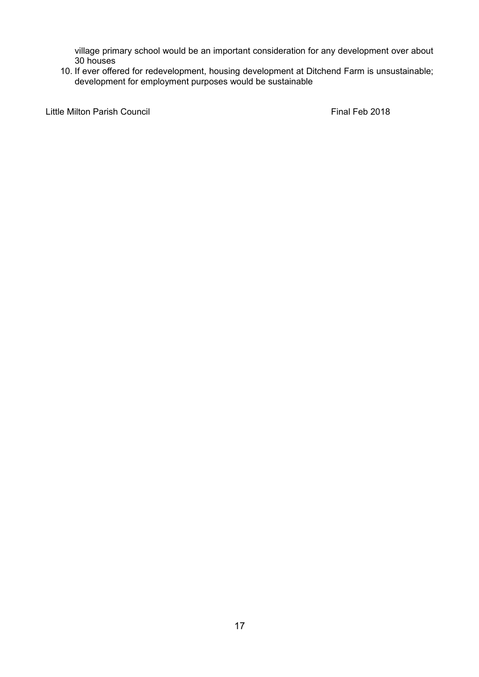village primary school would be an important consideration for any development over about 30 houses

10. If ever offered for redevelopment, housing development at Ditchend Farm is unsustainable; development for employment purposes would be sustainable

Little Milton Parish Council **Example 2018** Final Feb 2018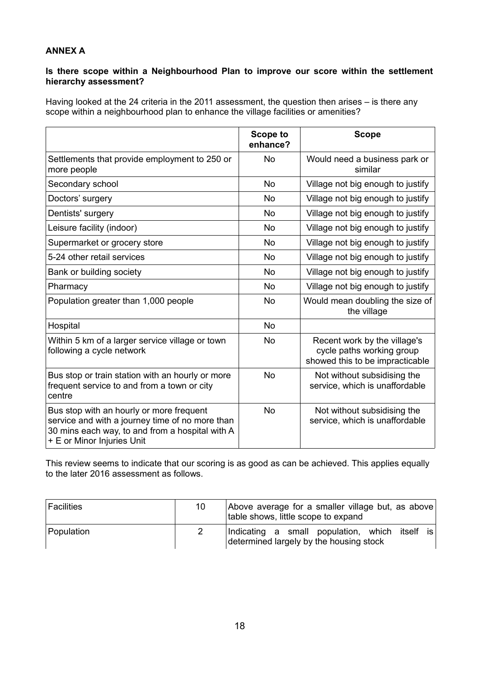# **ANNEX A**

## **Is there scope within a Neighbourhood Plan to improve our score within the settlement hierarchy assessment?**

Having looked at the 24 criteria in the 2011 assessment, the question then arises – is there any scope within a neighbourhood plan to enhance the village facilities or amenities?

|                                                                                                                                                                              | <b>Scope to</b><br>enhance? | <b>Scope</b>                                                                                 |
|------------------------------------------------------------------------------------------------------------------------------------------------------------------------------|-----------------------------|----------------------------------------------------------------------------------------------|
| Settlements that provide employment to 250 or<br>more people                                                                                                                 | <b>No</b>                   | Would need a business park or<br>similar                                                     |
| Secondary school                                                                                                                                                             | <b>No</b>                   | Village not big enough to justify                                                            |
| Doctors' surgery                                                                                                                                                             | <b>No</b>                   | Village not big enough to justify                                                            |
| Dentists' surgery                                                                                                                                                            | <b>No</b>                   | Village not big enough to justify                                                            |
| Leisure facility (indoor)                                                                                                                                                    | <b>No</b>                   | Village not big enough to justify                                                            |
| Supermarket or grocery store                                                                                                                                                 | <b>No</b>                   | Village not big enough to justify                                                            |
| 5-24 other retail services                                                                                                                                                   | <b>No</b>                   | Village not big enough to justify                                                            |
| Bank or building society                                                                                                                                                     | <b>No</b>                   | Village not big enough to justify                                                            |
| Pharmacy                                                                                                                                                                     | <b>No</b>                   | Village not big enough to justify                                                            |
| Population greater than 1,000 people                                                                                                                                         | <b>No</b>                   | Would mean doubling the size of<br>the village                                               |
| Hospital                                                                                                                                                                     | <b>No</b>                   |                                                                                              |
| Within 5 km of a larger service village or town<br>following a cycle network                                                                                                 | <b>No</b>                   | Recent work by the village's<br>cycle paths working group<br>showed this to be impracticable |
| Bus stop or train station with an hourly or more<br>frequent service to and from a town or city<br>centre                                                                    | <b>No</b>                   | Not without subsidising the<br>service, which is unaffordable                                |
| Bus stop with an hourly or more frequent<br>service and with a journey time of no more than<br>30 mins each way, to and from a hospital with A<br>+ E or Minor Injuries Unit | <b>No</b>                   | Not without subsidising the<br>service, which is unaffordable                                |

This review seems to indicate that our scoring is as good as can be achieved. This applies equally to the later 2016 assessment as follows.

| <sup> </sup> Facilities | 10 | Above average for a smaller village but, as above<br>table shows, little scope to expand  |
|-------------------------|----|-------------------------------------------------------------------------------------------|
| Population              |    | Indicating a small population, which itself is<br>determined largely by the housing stock |